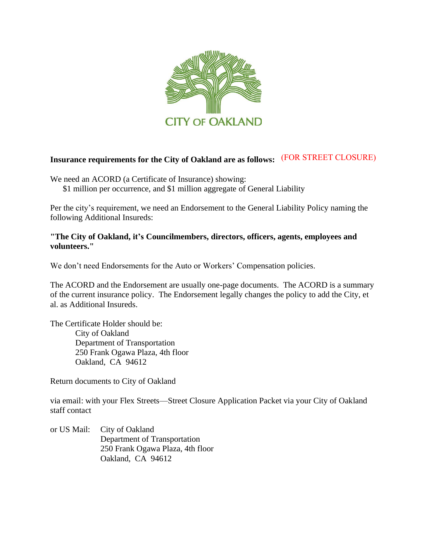

## **Insurance requirements for the City of Oakland are as follows:** (FOR STREET CLOSURE)

We need an ACORD (a Certificate of Insurance) showing: \$1 million per occurrence, and \$1 million aggregate of General Liability

Per the city's requirement, we need an Endorsement to the General Liability Policy naming the following Additional Insureds:

### **"The City of Oakland, it's Councilmembers, directors, officers, agents, employees and volunteers."**

We don't need Endorsements for the Auto or Workers' Compensation policies.

The ACORD and the Endorsement are usually one-page documents. The ACORD is a summary of the current insurance policy. The Endorsement legally changes the policy to add the City, et al. as Additional Insureds.

The Certificate Holder should be: City of Oakland Department of Transportation 250 Frank Ogawa Plaza, 4th floor Oakland, CA 94612

Return documents to City of Oakland

via email: with your Flex Streets—Street Closure Application Packet via your City of Oakland staff contact

or US Mail: City of Oakland Department of Transportation 250 Frank Ogawa Plaza, 4th floor Oakland, CA 94612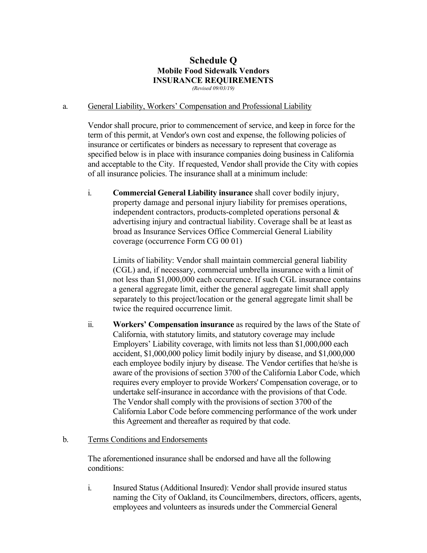# **Schedule Q Mobile Food Sidewalk Vendors INSURANCE REQUIREMENTS**

*(Revised 09/03/19)* 

#### a. General Liability, Workers' Compensation and Professional Liability

Vendor shall procure, prior to commencement of service, and keep in force for the term of this permit, at Vendor's own cost and expense, the following policies of insurance or certificates or binders as necessary to represent that coverage as specified below is in place with insurance companies doing business in California and acceptable to the City. If requested, Vendor shall provide the City with copies of all insurance policies. The insurance shall at a minimum include:

i. **Commercial General Liability insurance** shall cover bodily injury, property damage and personal injury liability for premises operations, independent contractors, products-completed operations personal & advertising injury and contractual liability. Coverage shall be at least as broad as Insurance Services Office Commercial General Liability coverage (occurrence Form CG 00 01)

Limits of liability: Vendor shall maintain commercial general liability (CGL) and, if necessary, commercial umbrella insurance with a limit of not less than \$1,000,000 each occurrence. If such CGL insurance contains a general aggregate limit, either the general aggregate limit shall apply separately to this project/location or the general aggregate limit shall be twice the required occurrence limit.

ii. **Workers' Compensation insurance** as required by the laws of the State of California, with statutory limits, and statutory coverage may include Employers' Liability coverage, with limits not less than \$1,000,000 each accident, \$1,000,000 policy limit bodily injury by disease, and \$1,000,000 each employee bodily injury by disease. The Vendor certifies that he/she is aware of the provisions of section 3700 of the California Labor Code, which requires every employer to provide Workers' Compensation coverage, or to undertake self-insurance in accordance with the provisions of that Code. The Vendor shall comply with the provisions of section 3700 of the California Labor Code before commencing performance of the work under this Agreement and thereafter as required by that code.

#### b. Terms Conditions and Endorsements

The aforementioned insurance shall be endorsed and have all the following conditions:

i. Insured Status (Additional Insured): Vendor shall provide insured status naming the City of Oakland, its Councilmembers, directors, officers, agents, employees and volunteers as insureds under the Commercial General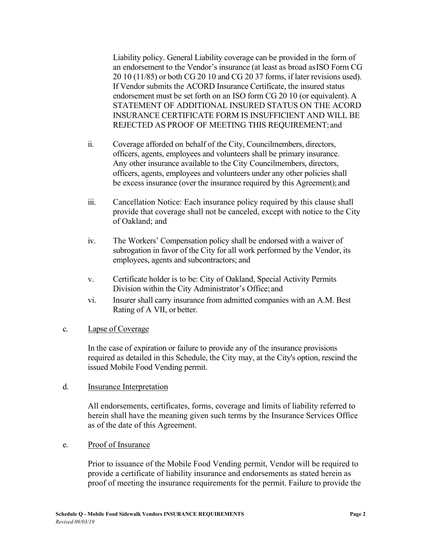Liability policy. General Liability coverage can be provided in the form of an endorsement to the Vendor's insurance (at least as broad as ISO Form CG 20 10 (11/85) or both CG 20 10 and CG 20 37 forms, if later revisions used). If Vendor submits the ACORD Insurance Certificate, the insured status endorsement must be set forth on an ISO form CG 20 10 (or equivalent). A STATEMENT OF ADDITIONAL INSURED STATUS ON THE ACORD INSURANCE CERTIFICATE FORM IS INSUFFICIENT AND WILL BE REJECTED AS PROOF OF MEETING THIS REQUIREMENT; and

- ii. Coverage afforded on behalf of the City, Councilmembers, directors, officers, agents, employees and volunteers shall be primary insurance. Any other insurance available to the City Councilmembers, directors, officers, agents, employees and volunteers under any other policies shall be excess insurance (over the insurance required by this Agreement); and
- iii. Cancellation Notice: Each insurance policy required by this clause shall provide that coverage shall not be canceled, except with notice to the City of Oakland; and
- iv. The Workers' Compensation policy shall be endorsed with a waiver of subrogation in favor of the City for all work performed by the Vendor, its employees, agents and subcontractors; and
- v. Certificate holder is to be: City of Oakland, Special Activity Permits Division within the City Administrator's Office; and
- vi. Insurer shall carry insurance from admitted companies with an A.M. Best Rating of A VII, or better.

#### c. Lapse of Coverage

In the case of expiration or failure to provide any of the insurance provisions required as detailed in this Schedule, the City may, at the City's option, rescind the issued Mobile Food Vending permit.

#### d. Insurance Interpretation

All endorsements, certificates, forms, coverage and limits of liability referred to herein shall have the meaning given such terms by the Insurance Services Office as of the date of this Agreement.

#### e. Proof of Insurance

Prior to issuance of the Mobile Food Vending permit, Vendor will be required to provide a certificate of liability insurance and endorsements as stated herein as proof of meeting the insurance requirements for the permit. Failure to provide the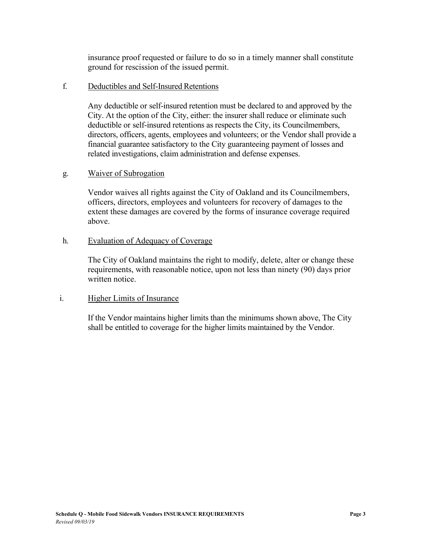insurance proof requested or failure to do so in a timely manner shall constitute ground for rescission of the issued permit.

#### f. Deductibles and Self-Insured Retentions

Any deductible or self-insured retention must be declared to and approved by the City. At the option of the City, either: the insurer shall reduce or eliminate such deductible or self-insured retentions as respects the City, its Councilmembers, directors, officers, agents, employees and volunteers; or the Vendor shall provide a financial guarantee satisfactory to the City guaranteeing payment of losses and related investigations, claim administration and defense expenses.

#### g. Waiver of Subrogation

Vendor waives all rights against the City of Oakland and its Councilmembers, officers, directors, employees and volunteers for recovery of damages to the extent these damages are covered by the forms of insurance coverage required above.

#### h. Evaluation of Adequacy of Coverage

The City of Oakland maintains the right to modify, delete, alter or change these requirements, with reasonable notice, upon not less than ninety (90) days prior written notice.

#### i. Higher Limits of Insurance

If the Vendor maintains higher limits than the minimums shown above, The City shall be entitled to coverage for the higher limits maintained by the Vendor.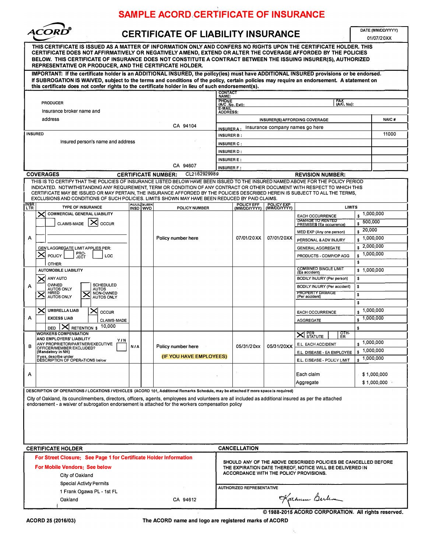# **SAMPLE ACORD CERTIFICATE OF INSURANCE**



| $\mathbf{v}_{\infty}$<br><b>ACORD</b><br><b>CERTIFICATE OF LIABILITY INSURANCE</b>                                                                                                                                                                                                                                                                                                                                                                                                                 |                                                                                                   |                   |                  |                                                                  |                                                       |                                        |                            |                                                            | DATE (MM/DD/YYYY)<br>01/07/20XX |             |  |
|----------------------------------------------------------------------------------------------------------------------------------------------------------------------------------------------------------------------------------------------------------------------------------------------------------------------------------------------------------------------------------------------------------------------------------------------------------------------------------------------------|---------------------------------------------------------------------------------------------------|-------------------|------------------|------------------------------------------------------------------|-------------------------------------------------------|----------------------------------------|----------------------------|------------------------------------------------------------|---------------------------------|-------------|--|
| THIS CERTIFICATE IS ISSUED AS A MATTER OF INFORMATION ONLY AND CONFERS NO RIGHTS UPON THE CERTIFICATE HOLDER. THIS<br>CERTIFICATE DOES NOT AFFIRMATIVELY OR NEGATIVELY AMEND, EXTEND OR ALTER THE COVERAGE AFFORDED BY THE POLICIES<br>BELOW. THIS CERTIFICATE OF INSURANCE DOES NOT CONSTITUTE A CONTRACT BETWEEN THE ISSUING INSURER(S), AUTHORIZED<br><b>REPRESENTATIVE OR PRODUCER, AND THE CERTIFICATE HOLDER.</b>                                                                            |                                                                                                   |                   |                  |                                                                  |                                                       |                                        |                            |                                                            |                                 |             |  |
| IMPORTANT: If the certificate holder is an ADDITIONAL INSURED, the policy(ies) must have ADDITIONAL INSURED provisions or be endorsed.<br>If SUBROGATION IS WAIVED, subject to the terms and conditions of the policy, certain policies may require an endorsement. A statement on                                                                                                                                                                                                                 |                                                                                                   |                   |                  |                                                                  |                                                       |                                        |                            |                                                            |                                 |             |  |
| this certificate does not confer rights to the certificate holder in lieu of such endorsement(s).<br><b>CONTACT</b>                                                                                                                                                                                                                                                                                                                                                                                |                                                                                                   |                   |                  |                                                                  |                                                       |                                        |                            |                                                            |                                 |             |  |
|                                                                                                                                                                                                                                                                                                                                                                                                                                                                                                    |                                                                                                   |                   |                  |                                                                  |                                                       | NAME:                                  |                            |                                                            |                                 |             |  |
| <b>PRODUCER</b>                                                                                                                                                                                                                                                                                                                                                                                                                                                                                    |                                                                                                   |                   |                  |                                                                  | PHONE<br>(A/C.No.Ext):<br>FAX<br>(A/C, No):<br>E-MAIL |                                        |                            |                                                            |                                 |             |  |
| Insurance broker name and<br>address                                                                                                                                                                                                                                                                                                                                                                                                                                                               |                                                                                                   |                   |                  | <b>ADDRESS:</b>                                                  |                                                       |                                        |                            |                                                            |                                 |             |  |
| CA 94104                                                                                                                                                                                                                                                                                                                                                                                                                                                                                           |                                                                                                   |                   |                  | INSURER(S) AFFORDING COVERAGE<br>Insurance company names go here |                                                       |                                        |                            |                                                            | NAIC#                           |             |  |
| <b>INSURED</b>                                                                                                                                                                                                                                                                                                                                                                                                                                                                                     |                                                                                                   |                   |                  |                                                                  | <b>INSURER A</b><br>INSURER B:                        |                                        |                            |                                                            |                                 | 11000       |  |
| Insured person's name and address                                                                                                                                                                                                                                                                                                                                                                                                                                                                  |                                                                                                   |                   |                  |                                                                  | <b>INSURER C:</b>                                     |                                        |                            |                                                            |                                 |             |  |
|                                                                                                                                                                                                                                                                                                                                                                                                                                                                                                    |                                                                                                   |                   |                  |                                                                  | <b>INSURER D:</b>                                     |                                        |                            |                                                            |                                 |             |  |
|                                                                                                                                                                                                                                                                                                                                                                                                                                                                                                    |                                                                                                   |                   |                  | <b>INSURER E:</b>                                                |                                                       |                                        |                            |                                                            |                                 |             |  |
|                                                                                                                                                                                                                                                                                                                                                                                                                                                                                                    |                                                                                                   | <b>INSURER F:</b> |                  |                                                                  |                                                       |                                        |                            |                                                            |                                 |             |  |
| CL2162929989<br><b>COVERAGES</b><br><b>CERTIFICATE NUMBER:</b><br><b>REVISION NUMBER:</b>                                                                                                                                                                                                                                                                                                                                                                                                          |                                                                                                   |                   |                  |                                                                  |                                                       |                                        |                            |                                                            |                                 |             |  |
| THIS IS TO CERTIFY THAT THE POLICIES OF INSURANCE LISTED BELOW HAVE BEEN ISSUED TO THE INSURED NAMED ABOVE FOR THE POLICY PERIOD<br>INDICATED. NOTWITHSTANDING ANY REQUIREMENT, TERM OR CONDITION OF ANY CONTRACT OR OTHER DOCUMENT WITH RESPECT TO WHICH THIS<br>CERTIFICATE MAY BE ISSUED OR MAY PERTAIN. THE INSURANCE AFFORDED BY THE POLICIES DESCRIBED HEREIN IS SUBJECT TO ALL THE TERMS.<br>EXCLUSIONS AND CONDITIONS OF SUCH POLICIES. LIMITS SHOWN MAY HAVE BEEN REDUCED BY PAID CLAIMS. |                                                                                                   |                   |                  |                                                                  |                                                       |                                        |                            |                                                            |                                 |             |  |
| I <sup>INSR</sup>                                                                                                                                                                                                                                                                                                                                                                                                                                                                                  | <b>TYPE OF INSURANCE</b>                                                                          | INSD   WVD        | <b>SUDL</b> SUBK | POLICY NUMBER                                                    |                                                       | POLICY EFF<br>(MM/DD/YYYY)             | POLICY EXP<br>(MM/DD/YYYY) | <b>LIMITS</b>                                              |                                 |             |  |
|                                                                                                                                                                                                                                                                                                                                                                                                                                                                                                    | <b>COMMERCIAL GENERAL LIABILITY</b><br>X                                                          |                   |                  |                                                                  |                                                       |                                        |                            | <b>EACH OCCURRENCE</b>                                     | \$                              | 1,000,000   |  |
|                                                                                                                                                                                                                                                                                                                                                                                                                                                                                                    | CLAIMS-MADE<br><b>OCCUR</b>                                                                       |                   |                  |                                                                  |                                                       |                                        |                            | DAMAGE TO RENTED<br>PREMISES (Ea occurrence)               | 500,000<br>\$.                  |             |  |
|                                                                                                                                                                                                                                                                                                                                                                                                                                                                                                    |                                                                                                   |                   |                  |                                                                  |                                                       |                                        |                            | MED EXP (Any one person)                                   | 20,000<br>\$                    |             |  |
| А                                                                                                                                                                                                                                                                                                                                                                                                                                                                                                  |                                                                                                   |                   |                  | Policy number here                                               |                                                       | 07/01/20XX                             | 07/01/20XX                 | PERSONAL & ADV INJURY                                      | 1,000,000<br>\$                 |             |  |
|                                                                                                                                                                                                                                                                                                                                                                                                                                                                                                    | <b>GEN'LAGGREGATE LIMIT APPLIES PER:</b>                                                          |                   |                  |                                                                  |                                                       |                                        |                            | <b>GENERAL AGGREGATE</b>                                   | \$.                             | 2,000,000   |  |
|                                                                                                                                                                                                                                                                                                                                                                                                                                                                                                    | PRO-<br>JECT<br>$\times$<br><b>POLICY</b><br>LOC                                                  |                   |                  |                                                                  |                                                       |                                        |                            | PRODUCTS - COMP/OP AGG                                     | \$                              | 1,000,000   |  |
|                                                                                                                                                                                                                                                                                                                                                                                                                                                                                                    | OTHER:                                                                                            |                   |                  |                                                                  |                                                       |                                        |                            |                                                            | \$                              |             |  |
|                                                                                                                                                                                                                                                                                                                                                                                                                                                                                                    | <b>AUTOMOBILE LIABILITY</b><br>ANY AUTO                                                           |                   |                  |                                                                  |                                                       |                                        |                            | COMBINED SINGLE LIMIT<br>(Ea accident)                     | \$1,000,000<br>\$               |             |  |
| А                                                                                                                                                                                                                                                                                                                                                                                                                                                                                                  | OWNED<br><b>SCHEDULED</b>                                                                         |                   |                  |                                                                  |                                                       |                                        |                            | BODILY INJURY (Per person)<br>BODILY INJURY (Per accident) | \$                              |             |  |
|                                                                                                                                                                                                                                                                                                                                                                                                                                                                                                    | <b>AUTOS ONLY</b><br><b>AUTOS</b><br>HIRED<br>NON-OWNED<br>×                                      |                   |                  |                                                                  |                                                       |                                        |                            | <b>PROPERTY DAMAGE</b>                                     | \$                              |             |  |
|                                                                                                                                                                                                                                                                                                                                                                                                                                                                                                    | AUTOS ONLY<br><b>AUTOS ONLY</b>                                                                   |                   |                  |                                                                  |                                                       |                                        |                            | (Per accident)                                             | s                               |             |  |
|                                                                                                                                                                                                                                                                                                                                                                                                                                                                                                    | ≻<br><b>UMBRELLA LIAB</b><br>✕<br><b>OCCUR</b>                                                    |                   |                  |                                                                  |                                                       |                                        |                            | <b>EACH OCCURRENCE</b>                                     | \$                              | 1,000,000   |  |
| А                                                                                                                                                                                                                                                                                                                                                                                                                                                                                                  | <b>EXCESS LIAB</b><br><b>CLAIMS-MADE</b>                                                          |                   |                  |                                                                  |                                                       |                                        |                            | <b>AGGREGATE</b>                                           | $\pmb{\mathsf{s}}$              | 1,000,000   |  |
|                                                                                                                                                                                                                                                                                                                                                                                                                                                                                                    | RETENTION \$ 10,000<br>$\mathsf{x}$<br>DED                                                        |                   |                  |                                                                  |                                                       |                                        |                            |                                                            | \$                              |             |  |
|                                                                                                                                                                                                                                                                                                                                                                                                                                                                                                    | <b>WORKERS COMPENSATION</b><br>AND EMPLOYERS' LIABILITY                                           |                   |                  |                                                                  |                                                       |                                        |                            | ᅈᅲ<br>$X$ STATUTE                                          |                                 |             |  |
| в                                                                                                                                                                                                                                                                                                                                                                                                                                                                                                  | <b>Y/N</b><br>ANY PROPRIETOR/PARTNER/EXECUTIVE                                                    | <b>N/A</b>        |                  | Policy number here                                               |                                                       | 05/31/20xx                             | 05/31/20XX                 | E.L. EACH ACCIDENT                                         | \$1,000,000                     |             |  |
|                                                                                                                                                                                                                                                                                                                                                                                                                                                                                                    | OFFICER/MEMBER EXCLUDED?<br>(Mandatory in NH)<br>If yes, describe under                           |                   |                  | (IF YOU HAVE EMPLOYEES)                                          |                                                       |                                        |                            | E.L. DISEASE - EA EMPLOYEE                                 |                                 | 1,000,000   |  |
|                                                                                                                                                                                                                                                                                                                                                                                                                                                                                                    | DESCRIPTION OF OPERATIONS below                                                                   |                   |                  |                                                                  |                                                       |                                        |                            | E.L. DISEASE - POLICY LIMIT                                | $s$ 1,000,000                   |             |  |
|                                                                                                                                                                                                                                                                                                                                                                                                                                                                                                    |                                                                                                   |                   |                  |                                                                  |                                                       |                                        |                            | Each claim                                                 |                                 | \$1,000,000 |  |
| А                                                                                                                                                                                                                                                                                                                                                                                                                                                                                                  |                                                                                                   |                   |                  |                                                                  |                                                       |                                        |                            | Aggregate                                                  |                                 | \$1,000,000 |  |
|                                                                                                                                                                                                                                                                                                                                                                                                                                                                                                    |                                                                                                   |                   |                  |                                                                  |                                                       |                                        |                            |                                                            |                                 |             |  |
| DESCRIPTION OF OPERATIONS / LOCATIONS / VEHICLES (ACORD 101, Additional Remarks Schedule, may be attached if more space is required)<br>City of Oakland, its councilmembers, directors, officers, agents, employees and volunteers are all included as additional insured as per the attached                                                                                                                                                                                                      |                                                                                                   |                   |                  |                                                                  |                                                       |                                        |                            |                                                            |                                 |             |  |
|                                                                                                                                                                                                                                                                                                                                                                                                                                                                                                    | endorsement - a waiver of subrogation endorsement is attached for the workers compensation policy |                   |                  |                                                                  |                                                       |                                        |                            |                                                            |                                 |             |  |
|                                                                                                                                                                                                                                                                                                                                                                                                                                                                                                    |                                                                                                   |                   |                  |                                                                  |                                                       |                                        |                            |                                                            |                                 |             |  |
|                                                                                                                                                                                                                                                                                                                                                                                                                                                                                                    |                                                                                                   |                   |                  |                                                                  |                                                       |                                        |                            |                                                            |                                 |             |  |
|                                                                                                                                                                                                                                                                                                                                                                                                                                                                                                    |                                                                                                   |                   |                  |                                                                  |                                                       |                                        |                            |                                                            |                                 |             |  |
|                                                                                                                                                                                                                                                                                                                                                                                                                                                                                                    |                                                                                                   |                   |                  |                                                                  |                                                       |                                        |                            |                                                            |                                 |             |  |
| <b>CERTIFICATE HOLDER</b><br><b>CANCELLATION</b>                                                                                                                                                                                                                                                                                                                                                                                                                                                   |                                                                                                   |                   |                  |                                                                  |                                                       |                                        |                            |                                                            |                                 |             |  |
|                                                                                                                                                                                                                                                                                                                                                                                                                                                                                                    | For Street Closure: See Page 1 for Certificate Holder Information                                 |                   |                  |                                                                  |                                                       |                                        |                            |                                                            |                                 |             |  |
| SHOULD ANY OF THE ABOVE DESCRIBED POLICIES BE CANCELLED BEFORE<br><b>For Mobile Vendors: See below</b><br>THE EXPIRATION DATE THEREOF, NOTICE WILL BE DELIVERED IN                                                                                                                                                                                                                                                                                                                                 |                                                                                                   |                   |                  |                                                                  |                                                       |                                        |                            |                                                            |                                 |             |  |
| City of Oakland                                                                                                                                                                                                                                                                                                                                                                                                                                                                                    |                                                                                                   |                   |                  |                                                                  |                                                       | ACCORDANCE WITH THE POLICY PROVISIONS. |                            |                                                            |                                 |             |  |
| <b>Special Activty Permits</b>                                                                                                                                                                                                                                                                                                                                                                                                                                                                     |                                                                                                   |                   |                  |                                                                  |                                                       |                                        |                            |                                                            |                                 |             |  |
| 1 Frank Ogawa PL - 1st FL                                                                                                                                                                                                                                                                                                                                                                                                                                                                          |                                                                                                   |                   |                  |                                                                  |                                                       | AUTHORIZED REPRESENTATIVE              |                            |                                                            |                                 |             |  |
| Oakland<br>CA 94612                                                                                                                                                                                                                                                                                                                                                                                                                                                                                |                                                                                                   |                   |                  |                                                                  |                                                       | Karnen Berkom                          |                            |                                                            |                                 |             |  |
| © 1988-2015 ACORD CORPORATION. All rights reserved.                                                                                                                                                                                                                                                                                                                                                                                                                                                |                                                                                                   |                   |                  |                                                                  |                                                       |                                        |                            |                                                            |                                 |             |  |

**ACORD 25 (2016/03) The ACORD name and logo are registered marks of ACORD**